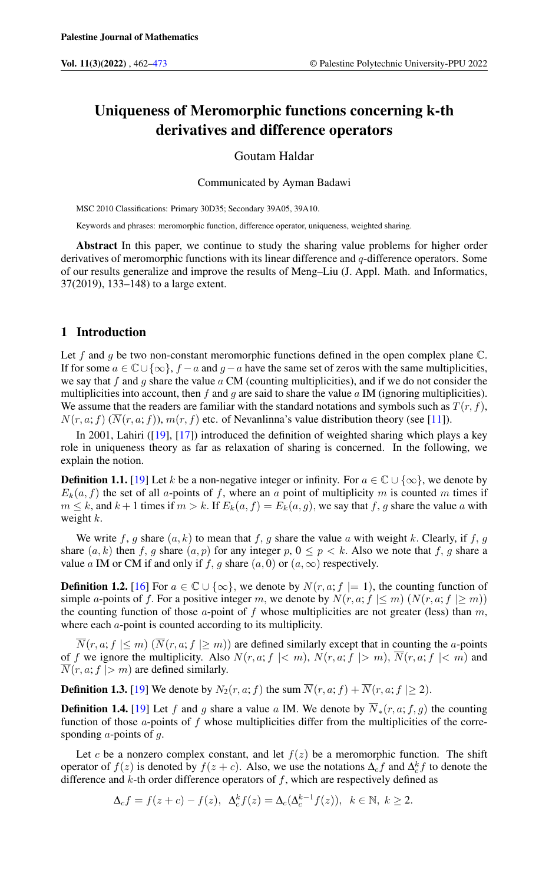# Uniqueness of Meromorphic functions concerning k-th derivatives and difference operators

## Goutam Haldar

Communicated by Ayman Badawi

MSC 2010 Classifications: Primary 30D35; Secondary 39A05, 39A10.

Keywords and phrases: meromorphic function, difference operator, uniqueness, weighted sharing.

Abstract In this paper, we continue to study the sharing value problems for higher order derivatives of meromorphic functions with its linear difference and q-difference operators. Some of our results generalize and improve the results of Meng–Liu (J. Appl. Math. and Informatics, 37(2019), 133–148) to a large extent.

# 1 Introduction

Let f and q be two non-constant meromorphic functions defined in the open complex plane  $\mathbb{C}$ . If for some  $a \in \mathbb{C} \cup \{\infty\}$ ,  $f - a$  and  $g - a$  have the same set of zeros with the same multiplicities, we say that f and g share the value  $\alpha$  CM (counting multiplicities), and if we do not consider the multiplicities into account, then f and g are said to share the value  $\alpha$  IM (ignoring multiplicities). We assume that the readers are familiar with the standard notations and symbols such as  $T(r, f)$ ,  $N(r, a; f)$   $(\overline{N}(r, a; f)), m(r, f)$  etc. of Nevanlinna's value distribution theory (see [\[11\]](#page-10-0)).

In 2001, Lahiri ([\[19\]](#page-10-1), [\[17\]](#page-10-2)) introduced the definition of weighted sharing which plays a key role in uniqueness theory as far as relaxation of sharing is concerned. In the following, we explain the notion.

**Definition 1.1.** [\[19\]](#page-10-1) Let k be a non-negative integer or infinity. For  $a \in \mathbb{C} \cup \{\infty\}$ , we denote by  $E_k(a, f)$  the set of all a-points of f, where an a point of multiplicity m is counted m times if  $m \leq k$ , and  $k+1$  times if  $m > k$ . If  $E_k(a, f) = E_k(a, g)$ , we say that f, g share the value a with weight  $k$ .

We write f, g share  $(a, k)$  to mean that f, g share the value a with weight k. Clearly, if f, g share  $(a, k)$  then f, g share  $(a, p)$  for any integer p,  $0 \le p < k$ . Also we note that f, g share a value a IM or CM if and only if f, g share  $(a, 0)$  or  $(a, \infty)$  respectively.

**Definition 1.2.** [\[16\]](#page-10-3) For  $a \in \mathbb{C} \cup \{\infty\}$ , we denote by  $N(r, a; f = 1)$ , the counting function of simple a-points of f. For a positive integer m, we denote by  $N(r, a; f \leq m)$  ( $N(r, a; f \geq m)$ ) the counting function of those  $a$ -point of f whose multiplicities are not greater (less) than  $m$ , where each  $a$ -point is counted according to its multiplicity.

 $\overline{N}(r, a; f \leq m)$   $(\overline{N}(r, a; f \geq m))$  are defined similarly except that in counting the *a*-points of f we ignore the multiplicity. Also  $N(r, a; f \mid < m)$ ,  $N(r, a; f \mid > m)$ ,  $\overline{N}(r, a; f \mid < m)$  and  $\overline{N}(r, a; f > m)$  are defined similarly.

**Definition 1.3.** [\[19\]](#page-10-1) We denote by  $N_2(r, a; f)$  the sum  $\overline{N}(r, a; f) + \overline{N}(r, a; f) \geq 2$ .

**Definition 1.4.** [\[19\]](#page-10-1) Let f and g share a value a IM. We denote by  $\overline{N}_*(r, a; f, g)$  the counting function of those  $a$ -points of f whose multiplicities differ from the multiplicities of the corresponding  $a$ -points of  $g$ .

Let c be a nonzero complex constant, and let  $f(z)$  be a meromorphic function. The shift operator of  $f(z)$  is denoted by  $f(z + c)$ . Also, we use the notations  $\Delta_c f$  and  $\Delta_c^k f$  to denote the difference and  $k$ -th order difference operators of  $f$ , which are respectively defined as

$$
\Delta_c f = f(z+c) - f(z), \quad \Delta_c^k f(z) = \Delta_c(\Delta_c^{k-1} f(z)), \quad k \in \mathbb{N}, \ k \ge 2.
$$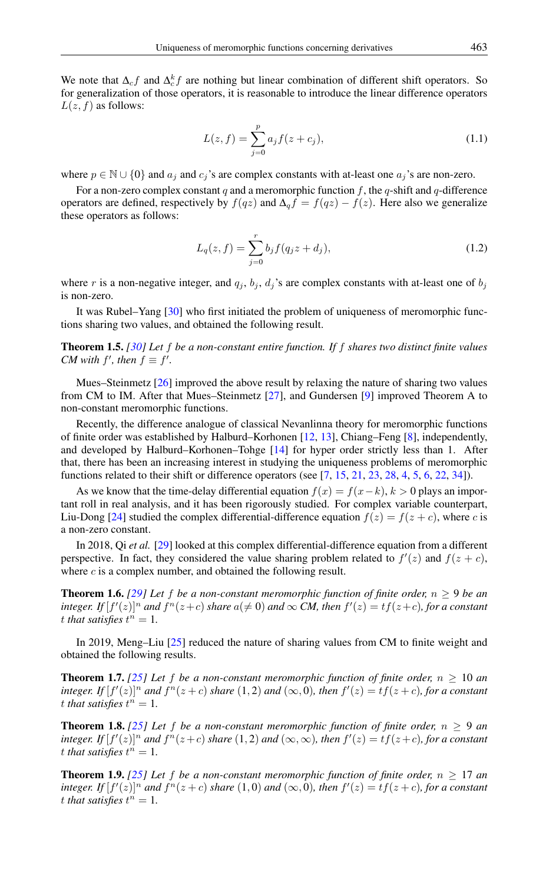We note that  $\Delta_c f$  and  $\Delta_c^k f$  are nothing but linear combination of different shift operators. So for generalization of those operators, it is reasonable to introduce the linear difference operators  $L(z, f)$  as follows:

<span id="page-1-2"></span>
$$
L(z, f) = \sum_{j=0}^{p} a_j f(z + c_j),
$$
\n(1.1)

where  $p \in \mathbb{N} \cup \{0\}$  and  $a_j$  and  $c_j$ 's are complex constants with at-least one  $a_j$ 's are non-zero.

For a non-zero complex constant q and a meromorphic function f, the q-shift and q-difference operators are defined, respectively by  $f(qz)$  and  $\Delta_q f = f(qz) - f(z)$ . Here also we generalize these operators as follows:

<span id="page-1-4"></span>
$$
L_q(z, f) = \sum_{j=0}^r b_j f(q_j z + d_j),
$$
\n(1.2)

where r is a non-negative integer, and  $q_j$ ,  $b_j$ ,  $d_j$ 's are complex constants with at-least one of  $b_j$ is non-zero.

It was Rubel–Yang [\[30\]](#page-10-4) who first initiated the problem of uniqueness of meromorphic functions sharing two values, and obtained the following result.

Theorem 1.5. *[\[30\]](#page-10-4) Let* f *be a non-constant entire function. If* f *shares two distinct finite values CM* with  $f'$ , then  $f \equiv f'$ .

Mues–Steinmetz [\[26\]](#page-10-5) improved the above result by relaxing the nature of sharing two values from CM to IM. After that Mues–Steinmetz [\[27\]](#page-10-6), and Gundersen [\[9\]](#page-10-7) improved Theorem A to non-constant meromorphic functions.

Recently, the difference analogue of classical Nevanlinna theory for meromorphic functions of finite order was established by Halburd–Korhonen [\[12,](#page-10-8) [13\]](#page-10-9), Chiang–Feng [\[8\]](#page-10-10), independently, and developed by Halburd–Korhonen–Tohge [\[14\]](#page-10-11) for hyper order strictly less than 1. After that, there has been an increasing interest in studying the uniqueness problems of meromorphic functions related to their shift or difference operators (see [\[7,](#page-10-12) [15,](#page-10-13) [21,](#page-10-14) [23,](#page-10-15) [28,](#page-10-16) [4,](#page-10-17) [5,](#page-10-18) [6,](#page-10-19) [22,](#page-10-20) [34\]](#page-10-21)).

As we know that the time-delay differential equation  $f(x) = f(x-k)$ ,  $k > 0$  plays an important roll in real analysis, and it has been rigorously studied. For complex variable counterpart, Liu-Dong [\[24\]](#page-10-22) studied the complex differential-difference equation  $f(z) = f(z + c)$ , where c is a non-zero constant.

In 2018, Qi *et al.* [\[29\]](#page-10-23) looked at this complex differential-difference equation from a different perspective. In fact, they considered the value sharing problem related to  $f'(z)$  and  $f(z + c)$ , where *c* is a complex number, and obtained the following result.

<span id="page-1-0"></span>**Theorem 1.6.** [\[29\]](#page-10-23) Let f be a non-constant meromorphic function of finite order,  $n \geq 9$  be an *integer.* If  $[f'(z)]^n$  *and*  $f^n(z+c)$  *share*  $a(\neq 0)$  *and*  $\infty$  *CM, then*  $f'(z) = tf(z+c)$ *, for a constant* t that satisfies  $t^n = 1$ .

In 2019, Meng–Liu [\[25\]](#page-10-24) reduced the nature of sharing values from CM to finite weight and obtained the following results.

<span id="page-1-3"></span>**Theorem 1.7.** [\[25\]](#page-10-24) Let f be a non-constant meromorphic function of finite order,  $n \geq 10$  an *integer.* If  $[f'(z)]^n$  and  $f^n(z+c)$  share  $(1,2)$  and  $(\infty,0)$ *, then*  $f'(z) = tf(z+c)$ *, for a constant* t that satisfies  $t^n = 1$ .

**Theorem 1.8.** [\[25\]](#page-10-24) Let f be a non-constant meromorphic function of finite order,  $n \ge 9$  an *integer.* If  $[f'(z)]^n$  and  $f^n(z+c)$  share  $(1,2)$  and  $(\infty,\infty)$ , then  $f'(z) = tf(z+c)$ , for a constant t that satisfies  $t^n = 1$ .

<span id="page-1-1"></span>**Theorem 1.9.** *[\[25\]](#page-10-24)* Let f be a non-constant meromorphic function of finite order,  $n \geq 17$  and *integer.* If  $[f'(z)]^n$  and  $f^n(z+c)$  share  $(1,0)$  and  $(\infty,0)$ *, then*  $f'(z) = tf(z+c)$ *, for a constant* t that satisfies  $t^n = 1$ .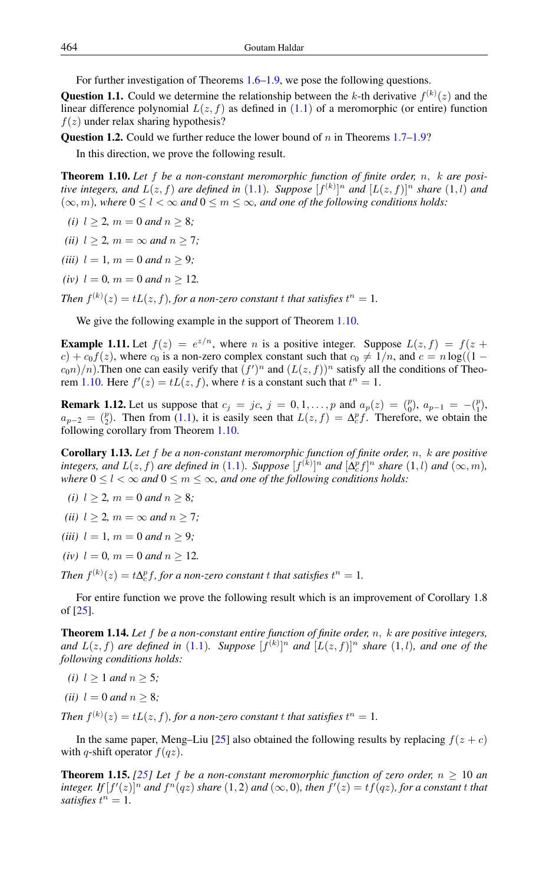For further investigation of Theorems [1.6](#page-1-0)[–1.9,](#page-1-1) we pose the following questions.

**Question 1.1.** Could we determine the relationship between the k-th derivative  $f^{(k)}(z)$  and the linear difference polynomial  $L(z, f)$  as defined in  $(1.1)$  $(1.1)$  $(1.1)$  of a meromorphic (or entire) function  $f(z)$  under relax sharing hypothesis?

**Question 1.2.** Could we further reduce the lower bound of n in Theorems  $1.7-1.9$  $1.7-1.9$ ?

In this direction, we prove the following result.

<span id="page-2-0"></span>Theorem 1.10. *Let* f *be a non-constant meromorphic function of finite order,* n, k *are positive integers, and*  $L(z, f)$  *are defined in* ([1](#page-1-2).1). Suppose  $[f^{(k)}]$ <sup>n</sup> and  $[L(z, f)]$ <sup>n</sup> share (1,l) and  $(\infty, m)$ *, where*  $0 \le l \le \infty$  *and*  $0 \le m \le \infty$ *, and one of the following conditions holds:* 

*(i)*  $l > 2$ *, m* = 0 *and n* > 8*;* 

*(ii)*  $l > 2$ *, m* =  $\infty$  *and n* > 7*;* 

*(iii)*  $l = 1, m = 0$  *and*  $n \geq 9$ *;* 

*(iv)*  $l = 0$ *, m* = 0 *and n* > 12*.* 

*Then*  $f^{(k)}(z) = tL(z, f)$ , for a non-zero constant t that satisfies  $t^n = 1$ .

We give the following example in the support of Theorem 1.[10.](#page-2-0)

**Example 1.11.** Let  $f(z) = e^{z/n}$ , where *n* is a positive integer. Suppose  $L(z, f) = f(z +$  $c$ ) +  $c_0 f(z)$ , where  $c_0$  is a non-zero complex constant such that  $c_0 \neq 1/n$ , and  $c = n \log((1 (c_0 n)/n$ ). Then one can easily verify that  $(f')^n$  and  $(L(z, f))^n$  satisfy all the conditions of Theo-rem 1.[10.](#page-2-0) Here  $f'(z) = tL(z, f)$ , where t is a constant such that  $t^n = 1$ .

**Remark 1.12.** Let us suppose that  $c_j = jc$ ,  $j = 0, 1, ..., p$  and  $a_p(z) = {p \choose 0}$ ,  $a_{p-1} = -{p \choose 1}$ .  $a_{p-2} = \binom{p}{2}$ . Then from [\(1.1\)](#page-1-2), it is easily seen that  $L(z, f) = \Delta_c^p f$ . Therefore, we obtain the following corollary from Theorem [1.10.](#page-2-0)

Corollary 1.13. *Let* f *be a non-constant meromorphic function of finite order,* n, k *are positive integers, and*  $L(z, f)$  *are defined in* ([1](#page-1-2).1). Suppose  $[f^{(k)}]^n$  *and*  $[\Delta_c^n f]^n$  *share* (1,*l*) *and*  $(\infty, m)$ *, where*  $0 \leq l < \infty$  *and*  $0 \leq m \leq \infty$ *, and one of the following conditions holds:* 

- *(i)*  $l \geq 2$ *, m* = 0 *and*  $n \geq 8$ *;*
- *(ii)*  $l \geq 2$ *, m* =  $\infty$  *and*  $n \geq 7$ *;*
- *(iii)*  $l = 1, m = 0$  *and*  $n \geq 9$ ;
- *(iv)*  $l = 0$ *, m* = 0 *and n* > 12*.*

*Then*  $f^{(k)}(z) = t\Delta_c^p f$ , for a non-zero constant t that satisfies  $t^n = 1$ .

For entire function we prove the following result which is an improvement of Corollary 1.8 of [\[25\]](#page-10-24).

Theorem 1.14. *Let* f *be a non-constant entire function of finite order,* n, k *are positive integers,* and  $L(z, f)$  are defined in ([1](#page-1-2).1). Suppose  $[f^{(k)}]$ <sup>n</sup> and  $[L(z, f)]$ <sup>n</sup> share (1,l), and one of the *following conditions holds:*

- *(i)*  $l \geq 1$  *and*  $n \geq 5$ *;*
- *(ii)*  $l = 0$  *and*  $n \geq 8$ ;

*Then*  $f^{(k)}(z) = tL(z, f)$ , for a non-zero constant t that satisfies  $t^n = 1$ .

In the same paper, Meng–Liu [\[25\]](#page-10-24) also obtained the following results by replacing  $f(z + c)$ with q-shift operator  $f(qz)$ .

<span id="page-2-1"></span>**Theorem 1.15.** [\[25\]](#page-10-24) Let f be a non-constant meromorphic function of zero order,  $n \geq 10$  an integer. If  $[f'(z)]^n$  and  $f^n(qz)$  share  $(1, 2)$  and  $(\infty, 0)$ , then  $f'(z) = tf(qz)$ , for a constant t that *satisfies*  $t^n = 1$ .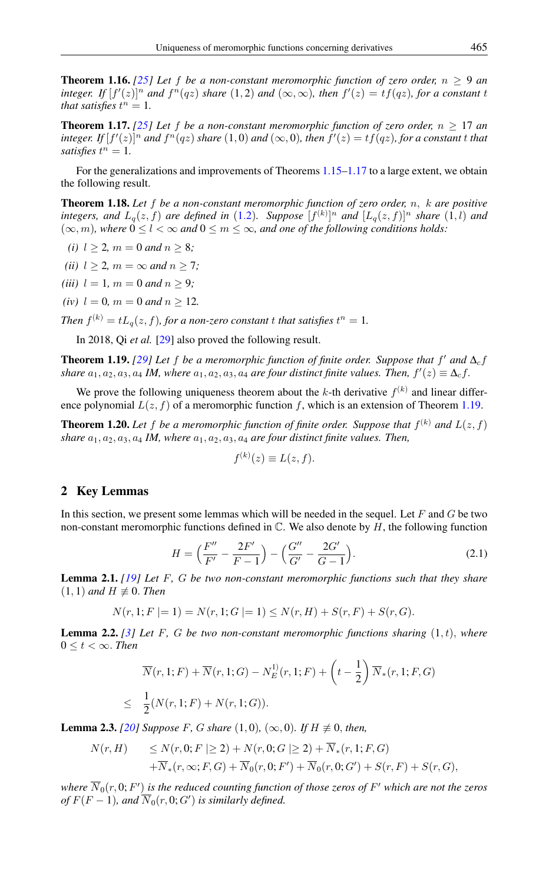**Theorem 1.16.** [\[25\]](#page-10-24) Let f be a non-constant meromorphic function of zero order,  $n \ge 9$  and integer. If  $[f'(z)]^n$  and  $f^n(qz)$  share  $(1,2)$  and  $(\infty,\infty)$ , then  $f'(z) = tf(qz)$ , for a constant t *that satisfies*  $t^n = 1$ .

<span id="page-3-0"></span>**Theorem 1.17.** [\[25\]](#page-10-24) Let f be a non-constant meromorphic function of zero order,  $n \geq 17$  an  $\int$ *integer.* If  $[f'(z)]^n$  and  $f^n(qz)$  share  $(1,0)$  and  $(\infty,0)$ , then  $f'(z) = tf(qz)$ , for a constant t that *satisfies*  $t^n = 1$ .

For the generalizations and improvements of Theorems [1.15](#page-2-1)[–1.17](#page-3-0) to a large extent, we obtain the following result.

Theorem 1.18. *Let* f *be a non-constant meromorphic function of zero order,* n, k *are positive integers, and*  $L_q(z, f)$  *are defined in* ([1](#page-1-4).2). Suppose  $[f^{(k)}]^n$  *and*  $[L_q(z, f)]^n$  *share* (1,*l*) *and*  $(\infty, m)$ *, where*  $0 \le l < \infty$  *and*  $0 \le m \le \infty$ *, and one of the following conditions holds:* 

- *(i)*  $l > 2$ *, m* = 0 *and n* > 8*;*
- *(ii)*  $l \geq 2$ *, m* =  $\infty$  *and n*  $\geq 7$ *;*
- *(iii)*  $l = 1, m = 0$  *and*  $n \geq 9$ *;*
- *(iv)*  $l = 0$ *, m* = 0 *and*  $n \ge 12$ *.*

*Then*  $f^{(k)} = tL_q(z, f)$ , for a non-zero constant t that satisfies  $t^n = 1$ .

In 2018, Qi *et al.* [\[29\]](#page-10-23) also proved the following result.

<span id="page-3-1"></span>**Theorem 1.19.** [\[29\]](#page-10-23) Let f be a meromorphic function of finite order. Suppose that  $f'$  and  $\Delta_c f$ *share*  $a_1, a_2, a_3, a_4$  *IM, where*  $a_1, a_2, a_3, a_4$  *are four distinct finite values. Then,*  $f'(z) \equiv \Delta_c f$ .

We prove the following uniqueness theorem about the k-th derivative  $f^{(k)}$  and linear difference polynomial  $L(z, f)$  of a meromorphic function f, which is an extension of Theorem [1.19.](#page-3-1)

<span id="page-3-2"></span>**Theorem 1.20.** Let f be a meromorphic function of finite order. Suppose that  $f^{(k)}$  and  $L(z, f)$ *share*  $a_1, a_2, a_3, a_4$  *IM, where*  $a_1, a_2, a_3, a_4$  *are four distinct finite values. Then,* 

$$
f^{(k)}(z) \equiv L(z, f).
$$

#### 2 Key Lemmas

In this section, we present some lemmas which will be needed in the sequel. Let  $F$  and  $G$  be two non-constant meromorphic functions defined in  $\mathbb{C}$ . We also denote by  $H$ , the following function

$$
H = \left(\frac{F''}{F'} - \frac{2F'}{F - 1}\right) - \left(\frac{G''}{G'} - \frac{2G'}{G - 1}\right). \tag{2.1}
$$

<span id="page-3-4"></span>Lemma 2.1. *[\[19\]](#page-10-1) Let* F*,* G *be two non-constant meromorphic functions such that they share*  $(1, 1)$  *and*  $H \not\equiv 0$ . *Then* 

$$
N(r, 1; F \mid = 1) = N(r, 1; G \mid = 1) \le N(r, H) + S(r, F) + S(r, G).
$$

<span id="page-3-5"></span>Lemma 2.2. *[\[3\]](#page-9-1) Let* F*,* G *be two non-constant meromorphic functions sharing* (1, t), *where*  $0 \leq t < \infty$ . *Then* 

$$
\overline{N}(r, 1; F) + \overline{N}(r, 1; G) - N_E^{(1)}(r, 1; F) + \left(t - \frac{1}{2}\right) \overline{N}_*(r, 1; F, G)
$$
\n
$$
\leq \frac{1}{2}(N(r, 1; F) + N(r, 1; G)).
$$

<span id="page-3-3"></span>**Lemma 2.3.** *[\[20\]](#page-10-25) Suppose F, G share* (1,0)*,* (∞,0)*. If H*  $\neq$  0*, then,* 

$$
N(r, H) \le N(r, 0; F \ge 2) + N(r, 0; G \ge 2) + \overline{N}_*(r, 1; F, G)
$$
  
+ 
$$
\overline{N}_*(r, \infty; F, G) + \overline{N}_0(r, 0; F') + \overline{N}_0(r, 0; G') + S(r, F) + S(r, G),
$$

where  $\overline{N}_0(r,0;F')$  is the reduced counting function of those zeros of  $F'$  which are not the zeros  $of F(F-1), and \overline{N}_0(r, 0; G')$  *is similarly defined.*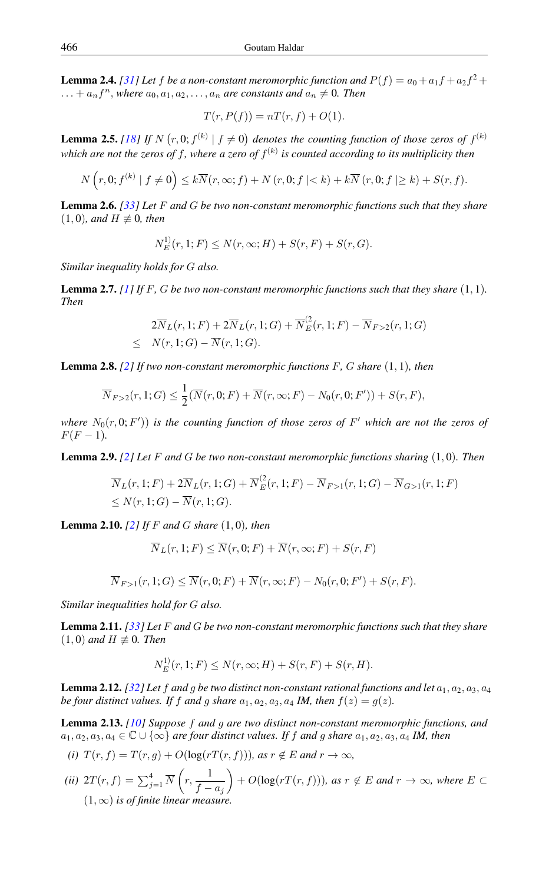<span id="page-4-0"></span>**Lemma 2.4.** [\[31\]](#page-10-26) Let f be a non-constant meromorphic function and  $P(f) = a_0 + a_1 f + a_2 f^2 +$  $\dots + a_n f^n$ , where  $a_0, a_1, a_2, \dots, a_n$  are constants and  $a_n \neq 0$ . Then

$$
T(r, P(f)) = nT(r, f) + O(1).
$$

<span id="page-4-4"></span>**Lemma 2.5.** [\[18\]](#page-10-27) If N  $(r, 0; f^{(k)} | f \neq 0)$  denotes the counting function of those zeros of  $f^{(k)}$ which are not the zeros of  $f$ , where a zero of  $f^{(k)}$  is counted according to its multiplicity then

$$
N\left(r,0; f^{(k)} \mid f \neq 0\right) \leq k \overline{N}(r,\infty; f) + N\left(r,0; f \mid < k\right) + k \overline{N}\left(r,0; f \mid \geq k\right) + S(r,f).
$$

Lemma 2.6. *[\[33\]](#page-10-28) Let* F *and* G *be two non-constant meromorphic functions such that they share*  $(1, 0)$ *, and*  $H \not\equiv 0$ *, then* 

$$
N_E^{(1)}(r, 1; F) \le N(r, \infty; H) + S(r, F) + S(r, G).
$$

*Similar inequality holds for* G *also.*

<span id="page-4-1"></span>**Lemma 2.7.** *[\[1\]](#page-9-2) If F*, *G be two non-constant meromorphic functions such that they share*  $(1, 1)$ *. Then*

$$
2\overline{N}_L(r,1;F) + 2\overline{N}_L(r,1;G) + \overline{N}_E^2(r,1;F) - \overline{N}_{F>2}(r,1;G)
$$
  
 
$$
\leq N(r,1;G) - \overline{N}(r,1;G).
$$

<span id="page-4-2"></span>Lemma 2.8. *[\[2\]](#page-9-3) If two non-constant meromorphic functions* F*,* G *share* (1, 1)*, then*

$$
\overline{N}_{F>2}(r,1;G) \leq \frac{1}{2}(\overline{N}(r,0;F) + \overline{N}(r,\infty;F) - N_0(r,0;F')) + S(r,F),
$$

where  $N_0(r, 0; F')$ ) is the counting function of those zeros of  $F'$  which are not the zeros of  $F(F - 1)$ .

<span id="page-4-5"></span>Lemma 2.9. *[\[2\]](#page-9-3) Let* F *and* G *be two non-constant meromorphic functions sharing* (1, 0)*. Then*

$$
\overline{N}_L(r, 1; F) + 2\overline{N}_L(r, 1; G) + \overline{N}_E^2(r, 1; F) - \overline{N}_{F>1}(r, 1; G) - \overline{N}_{G>1}(r, 1; F) \le N(r, 1; G) - \overline{N}(r, 1; G).
$$

<span id="page-4-6"></span>Lemma 2.10. *[\[2\]](#page-9-3) If* F *and* G *share* (1, 0)*, then*

1)

$$
\overline{N}_L(r, 1; F) \le \overline{N}(r, 0; F) + \overline{N}(r, \infty; F) + S(r, F)
$$

$$
\overline{N}_{F>1}(r,1;G) \leq \overline{N}(r,0;F) + \overline{N}(r,\infty;F) - N_0(r,0;F') + S(r,F).
$$

*Similar inequalities hold for* G *also.*

<span id="page-4-3"></span>Lemma 2.11. *[\[33\]](#page-10-28) Let* F *and* G *be two non-constant meromorphic functions such that they share*  $(1, 0)$  *and*  $H \not\equiv 0$ *. Then* 

$$
N_E^{(1)}(r, 1; F) \le N(r, \infty; H) + S(r, F) + S(r, H).
$$

<span id="page-4-7"></span>**Lemma 2.12.** *[\[32\]](#page-10-29)* Let f and g be two distinct non-constant rational functions and let  $a_1, a_2, a_3, a_4$ *be four distinct values. If* f and g share  $a_1, a_2, a_3, a_4$  *IM, then*  $f(z) = g(z)$ *.* 

<span id="page-4-8"></span>Lemma 2.13. *[\[10\]](#page-10-30) Suppose* f *and* g *are two distinct non-constant meromorphic functions, and*  $a_1, a_2, a_3, a_4 \in \mathbb{C} \cup \{\infty\}$  *are four distinct values. If* f *and* g *share*  $a_1, a_2, a_3, a_4$  *IM, then* 

$$
(i) T(r, f) = T(r, g) + O(\log(rT(r, f))), \text{ as } r \notin E \text{ and } r \to \infty,
$$

(*ii*) 
$$
2T(r, f) = \sum_{j=1}^{4} \overline{N} \left( r, \frac{1}{f - a_j} \right) + O(\log(rT(r, f))),
$$
 as  $r \notin E$  and  $r \to \infty$ , where  $E \subset (1, \infty)$  is of finite linear measure.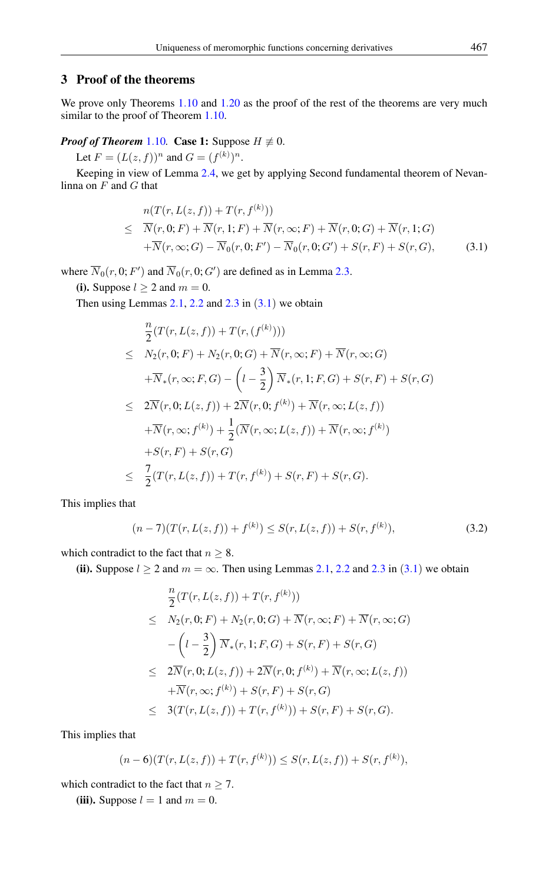## 3 Proof of the theorems

We prove only Theorems 1.[10](#page-2-0) and 1.[20](#page-3-2) as the proof of the rest of the theorems are very much similar to the proof of Theorem 1.[10.](#page-2-0)

#### *Proof of Theorem* 1.[10](#page-2-0)*.* Case 1: Suppose  $H \not\equiv 0$ .

Let  $F = (L(z, f))^n$  and  $G = (f^{(k)})^n$ .

Keeping in view of Lemma 2.[4,](#page-4-0) we get by applying Second fundamental theorem of Nevanlinna on  $F$  and  $G$  that

<span id="page-5-0"></span>
$$
n(T(r, L(z, f)) + T(r, f^{(k)}))
$$
  
\n
$$
\leq \overline{N}(r, 0; F) + \overline{N}(r, 1; F) + \overline{N}(r, \infty; F) + \overline{N}(r, 0; G) + \overline{N}(r, 1; G)
$$
  
\n
$$
+ \overline{N}(r, \infty; G) - \overline{N}_0(r, 0; F') - \overline{N}_0(r, 0; G') + S(r, F) + S(r, G),
$$
\n(3.1)

where  $\overline{N}_0(r, 0; F')$  and  $\overline{N}_0(r, 0; G')$  are defined as in Lemma 2.[3.](#page-3-3)

(i). Suppose  $l > 2$  and  $m = 0$ .

Then using Lemmas  $2.1$  $2.1$ ,  $2.2$  and  $2.3$  $2.3$  in  $(3.1)$  we obtain

$$
\frac{n}{2}(T(r, L(z, f)) + T(r, (f^{(k)})))
$$
\n
$$
\leq N_2(r, 0; F) + N_2(r, 0; G) + \overline{N}(r, \infty; F) + \overline{N}(r, \infty; G)
$$
\n
$$
+ \overline{N}_*(r, \infty; F, G) - \left(l - \frac{3}{2}\right) \overline{N}_*(r, 1; F, G) + S(r, F) + S(r, G)
$$
\n
$$
\leq 2\overline{N}(r, 0; L(z, f)) + 2\overline{N}(r, 0; f^{(k)}) + \overline{N}(r, \infty; L(z, f))
$$
\n
$$
+ \overline{N}(r, \infty; f^{(k)}) + \frac{1}{2}(\overline{N}(r, \infty; L(z, f)) + \overline{N}(r, \infty; f^{(k)})
$$
\n
$$
+ S(r, F) + S(r, G)
$$
\n
$$
\leq \frac{7}{2}(T(r, L(z, f)) + T(r, f^{(k)}) + S(r, F) + S(r, G).
$$

This implies that

$$
(n-7)(T(r, L(z, f)) + f^{(k)}) \le S(r, L(z, f)) + S(r, f^{(k)}),
$$
\n(3.2)

which contradict to the fact that  $n \geq 8$ .

(ii). Suppose  $l \ge 2$  $l \ge 2$  and  $m = \infty$ . Then using Lemmas 2.[1,](#page-3-4) 2.2 and 2.[3](#page-5-0) in (3.1) we obtain

$$
\frac{n}{2}(T(r, L(z, f)) + T(r, f^{(k)}))
$$
\n
$$
\leq N_2(r, 0; F) + N_2(r, 0; G) + \overline{N}(r, \infty; F) + \overline{N}(r, \infty; G)
$$
\n
$$
-\left(l - \frac{3}{2}\right) \overline{N}_*(r, 1; F, G) + S(r, F) + S(r, G)
$$
\n
$$
\leq 2\overline{N}(r, 0; L(z, f)) + 2\overline{N}(r, 0; f^{(k)}) + \overline{N}(r, \infty; L(z, f))
$$
\n
$$
+\overline{N}(r, \infty; f^{(k)}) + S(r, F) + S(r, G)
$$
\n
$$
\leq 3(T(r, L(z, f)) + T(r, f^{(k)})) + S(r, F) + S(r, G).
$$

This implies that

$$
(n-6)(T(r,L(z,f))+T(r,f^{(k)}))\leq S(r,L(z,f))+S(r,f^{(k)}),
$$

which contradict to the fact that  $n \geq 7$ .

(iii). Suppose  $l = 1$  and  $m = 0$ .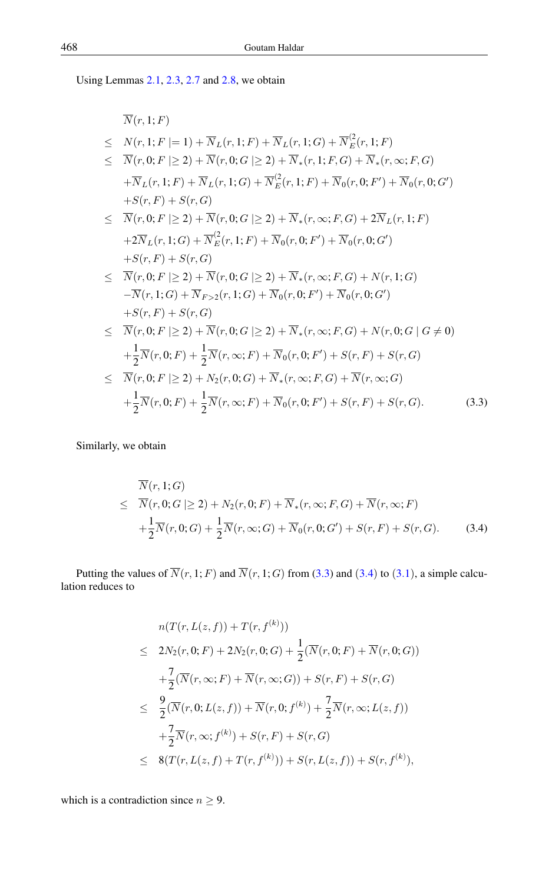Using Lemmas 2.[1,](#page-3-4) 2.[3,](#page-3-3) [2](#page-4-1).7 and 2.[8,](#page-4-2) we obtain

<span id="page-6-0"></span>
$$
\overline{N}(r, 1; F) \n\leq N(r, 1; F | = 1) + \overline{N}_L(r, 1; F) + \overline{N}_L(r, 1; G) + \overline{N}_E^2(r, 1; F) \n\leq \overline{N}(r, 0; F | \geq 2) + \overline{N}(r, 0; G | \geq 2) + \overline{N}_*(r, 1; F, G) + \overline{N}_*(r, \infty; F, G) \n+ \overline{N}_L(r, 1; F) + \overline{N}_L(r, 1; G) + \overline{N}_E^2(r, 1; F) + \overline{N}_0(r, 0; F') + \overline{N}_0(r, 0; G') \n+ S(r, F) + S(r, G) \n\leq \overline{N}(r, 0; F | \geq 2) + \overline{N}(r, 0; G | \geq 2) + \overline{N}_*(r, \infty; F, G) + 2\overline{N}_L(r, 1; F) \n+ 2\overline{N}_L(r, 1; G) + \overline{N}_E^2(r, 1; F) + \overline{N}_0(r, 0; F') + \overline{N}_0(r, 0; G') \n+ S(r, F) + S(r, G) \n\leq \overline{N}(r, 0; F | \geq 2) + \overline{N}(r, 0; G | \geq 2) + \overline{N}_*(r, \infty; F, G) + N(r, 1; G) \n- \overline{N}(r, 1; G) + \overline{N}_{F>2}(r, 1; G) + \overline{N}_0(r, 0; F') + \overline{N}_0(r, 0; G') \n+ S(r, F) + S(r, G) \n\leq \overline{N}(r, 0; F | \geq 2) + \overline{N}(r, 0; G | \geq 2) + \overline{N}_*(r, \infty; F, G) + N(r, 0; G | G \neq 0) \n+ \frac{1}{2}\overline{N}(r, 0; F) + \frac{1}{2}\overline{N}(r, \infty; F) + \overline{N}_0(r, 0; F') + S(r, F) + S(r, G) \n\leq \overline{N}(r, 0; F | \geq 2) + N_2(r
$$

Similarly, we obtain

<span id="page-6-1"></span>
$$
\overline{N}(r, 1; G) \leq \overline{N}(r, 0; G | \geq 2) + N_2(r, 0; F) + \overline{N}_*(r, \infty; F, G) + \overline{N}(r, \infty; F) + \frac{1}{2}\overline{N}(r, 0; G) + \frac{1}{2}\overline{N}(r, \infty; G) + \overline{N}_0(r, 0; G') + S(r, F) + S(r, G).
$$
\n(3.4)

Putting the values of  $\overline{N}(r, 1; F)$  and  $\overline{N}(r, 1; G)$  from [\(3.3\)](#page-6-0) and ([3](#page-5-0).4) to (3.1), a simple calculation reduces to

$$
n(T(r, L(z, f)) + T(r, f^{(k)}))
$$
  
\n
$$
\leq 2N_2(r, 0; F) + 2N_2(r, 0; G) + \frac{1}{2}(\overline{N}(r, 0; F) + \overline{N}(r, 0; G))
$$
  
\n
$$
+ \frac{7}{2}(\overline{N}(r, \infty; F) + \overline{N}(r, \infty; G)) + S(r, F) + S(r, G)
$$
  
\n
$$
\leq \frac{9}{2}(\overline{N}(r, 0; L(z, f)) + \overline{N}(r, 0; f^{(k)}) + \frac{7}{2}\overline{N}(r, \infty; L(z, f))
$$
  
\n
$$
+ \frac{7}{2}\overline{N}(r, \infty; f^{(k)}) + S(r, F) + S(r, G)
$$
  
\n
$$
\leq 8(T(r, L(z, f) + T(r, f^{(k)})) + S(r, L(z, f)) + S(r, f^{(k)}),
$$

which is a contradiction since  $n \geq 9$ .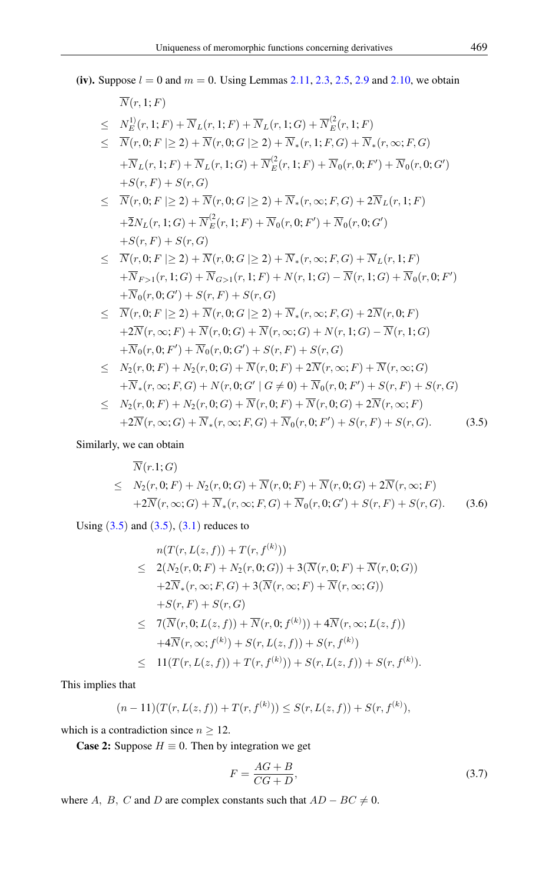(iv). Suppose  $l = 0$  and  $m = 0$ . Using Lemmas 2.[11,](#page-4-3) 2.[3,](#page-3-3) 2.[5,](#page-4-4) [2](#page-4-5).9 and 2.[10,](#page-4-6) we obtain

<span id="page-7-0"></span>
$$
\overline{N}(r, 1; F) \n\leq N_E^{1}(r, 1; F) + \overline{N}_L(r, 1; F) + \overline{N}_L(r, 1; G) + \overline{N}_E^{2}(r, 1; F) \n\leq \overline{N}(r, 0; F \mid \geq 2) + \overline{N}(r, 0; G \mid \geq 2) + \overline{N}_*(r, 1; F, G) + \overline{N}_*(r, \infty; F, G) \n+ \overline{N}_L(r, 1; F) + \overline{N}_L(r, 1; G) + \overline{N}_E^{2}(r, 1; F) + \overline{N}_0(r, 0; F') + \overline{N}_0(r, 0; G') \n+ S(r, F) + S(r, G) \n\leq \overline{N}(r, 0; F \mid \geq 2) + \overline{N}(r, 0; G \mid \geq 2) + \overline{N}_*(r, \infty; F, G) + 2\overline{N}_L(r, 1; F) \n+ \overline{2}N_L(r, 1; G) + \overline{N}_E^{2}(r, 1; F) + \overline{N}_0(r, 0; F') + \overline{N}_0(r, 0; G') \n+ S(r, F) + S(r, G) \n\leq \overline{N}(r, 0; F \mid \geq 2) + \overline{N}(r, 0; G \mid \geq 2) + \overline{N}_*(r, \infty; F, G) + \overline{N}_L(r, 1; F) \n+ \overline{N}_{F>1}(r, 1; G) + \overline{N}_{G>1}(r, 1; F) + N(r, 1; G) - \overline{N}(r, 1; G) + \overline{N}_0(r, 0; F') \n+ \overline{N}_0(r, 0; G') + S(r, F) + S(r, G) \n\leq \overline{N}(r, 0; F \mid \geq 2) + \overline{N}(r, 0; G \mid \geq 2) + \overline{N}_*(r, \infty; F, G) + 2\overline{N}(r, 0; F) \n+ 2\overline{N}(r, \infty; F) + \overline{N}(r, 0; G) + \overline{N}(r, \infty; G) + N(r, 1; G) -
$$

## Similarly, we can obtain

$$
\overline{N}(r.1;G)
$$
\n
$$
\leq N_2(r,0;F) + N_2(r,0;G) + \overline{N}(r,0;F) + \overline{N}(r,0;G) + 2\overline{N}(r,\infty;F)
$$
\n
$$
+ 2\overline{N}(r,\infty;G) + \overline{N}_*(r,\infty;F,G) + \overline{N}_0(r,0;G') + S(r,F) + S(r,G). \tag{3.6}
$$

Using  $(3.5)$  $(3.5)$  $(3.5)$  and  $(3.5)$ ,  $(3.1)$  reduces to

$$
n(T(r, L(z, f)) + T(r, f^{(k)}))
$$
  
\n
$$
\leq 2(N_2(r, 0; F) + N_2(r, 0; G)) + 3(\overline{N}(r, 0; F) + \overline{N}(r, 0; G))
$$
  
\n
$$
+2\overline{N}_*(r, \infty; F, G) + 3(\overline{N}(r, \infty; F) + \overline{N}(r, \infty; G))
$$
  
\n
$$
+S(r, F) + S(r, G)
$$
  
\n
$$
\leq 7(\overline{N}(r, 0; L(z, f)) + \overline{N}(r, 0; f^{(k)})) + 4\overline{N}(r, \infty; L(z, f))
$$
  
\n
$$
+4\overline{N}(r, \infty; f^{(k)}) + S(r, L(z, f)) + S(r, f^{(k)})
$$
  
\n
$$
\leq 11(T(r, L(z, f)) + T(r, f^{(k)})) + S(r, L(z, f)) + S(r, f^{(k)}).
$$

This implies that

$$
(n-11)(T(r, L(z, f)) + T(r, f^{(k)})) \leq S(r, L(z, f)) + S(r, f^{(k)}),
$$

which is a contradiction since  $n \geq 12$ .

**Case 2:** Suppose  $H \equiv 0$ . Then by integration we get

<span id="page-7-1"></span>
$$
F = \frac{AG + B}{CG + D},\tag{3.7}
$$

where A, B, C and D are complex constants such that  $AD - BC \neq 0$ .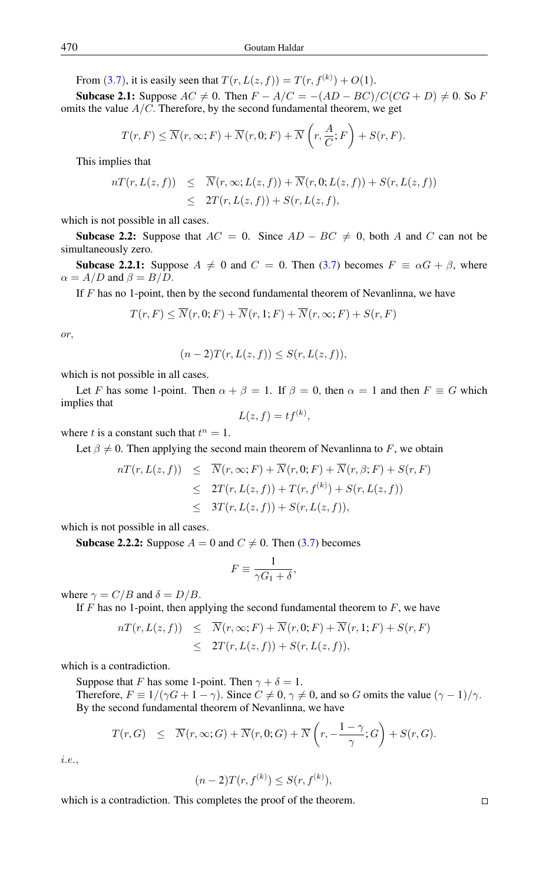From ([3](#page-7-1).7), it is easily seen that  $T(r, L(z, f)) = T(r, f^{(k)}) + O(1)$ .

Subcase 2.1: Suppose  $AC \neq 0$ . Then  $F - A/C = -(AD - BC)/C(CG + D) \neq 0$ . So F omits the value  $A/C$ . Therefore, by the second fundamental theorem, we get

$$
T(r, F) \leq \overline{N}(r, \infty; F) + \overline{N}(r, 0; F) + \overline{N}\left(r, \frac{A}{C}; F\right) + S(r, F).
$$

This implies that

$$
nT(r, L(z, f)) \leq \overline{N}(r, \infty; L(z, f)) + \overline{N}(r, 0; L(z, f)) + S(r, L(z, f))
$$
  

$$
\leq 2T(r, L(z, f)) + S(r, L(z, f)),
$$

which is not possible in all cases.

**Subcase 2.2:** Suppose that  $AC = 0$ . Since  $AD - BC \neq 0$ , both A and C can not be simultaneously zero.

**Subcase 2.2.1:** Suppose  $A \neq 0$  and  $C = 0$ . Then [\(3.7\)](#page-7-1) becomes  $F \equiv \alpha G + \beta$ , where  $\alpha = A/D$  and  $\beta = B/D$ .

If  $F$  has no 1-point, then by the second fundamental theorem of Nevanlinna, we have

$$
T(r, F) \le \overline{N}(r, 0; F) + \overline{N}(r, 1; F) + \overline{N}(r, \infty; F) + S(r, F)
$$

or,

$$
(n-2)T(r, L(z, f)) \leq S(r, L(z, f)),
$$

which is not possible in all cases.

Let F has some 1-point. Then  $\alpha + \beta = 1$ . If  $\beta = 0$ , then  $\alpha = 1$  and then  $F \equiv G$  which implies that

$$
L(z, f) = tf^{(k)},
$$

where t is a constant such that  $t^n = 1$ .

Let  $\beta \neq 0$ . Then applying the second main theorem of Nevanlinna to F, we obtain

$$
nT(r, L(z, f)) \leq \overline{N}(r, \infty; F) + \overline{N}(r, 0; F) + \overline{N}(r, \beta; F) + S(r, F)
$$
  

$$
\leq 2T(r, L(z, f)) + T(r, f^{(k)}) + S(r, L(z, f))
$$
  

$$
\leq 3T(r, L(z, f)) + S(r, L(z, f)),
$$

which is not possible in all cases.

**Subcase 2.2.2:** Suppose  $A = 0$  and  $C \neq 0$ . Then [\(3.7\)](#page-7-1) becomes

$$
F \equiv \frac{1}{\gamma G_1 + \delta},
$$

where  $\gamma = C/B$  and  $\delta = D/B$ .

If  $F$  has no 1-point, then applying the second fundamental theorem to  $F$ , we have

$$
nT(r, L(z, f)) \leq \overline{N}(r, \infty; F) + \overline{N}(r, 0; F) + \overline{N}(r, 1; F) + S(r, F)
$$
  
 
$$
\leq 2T(r, L(z, f)) + S(r, L(z, f)),
$$

which is a contradiction.

Suppose that F has some 1-point. Then  $\gamma + \delta = 1$ . Therefore,  $F \equiv 1/(\gamma G + 1 - \gamma)$ . Since  $C \neq 0, \gamma \neq 0$ , and so G omits the value  $(\gamma - 1)/\gamma$ . By the second fundamental theorem of Nevanlinna, we have

$$
T(r, G) \leq \overline{N}(r, \infty; G) + \overline{N}(r, 0; G) + \overline{N}\left(r, -\frac{1-\gamma}{\gamma}; G\right) + S(r, G).
$$

i.e.,

$$
(n-2)T(r, f^{(k)}) \le S(r, f^{(k)}),
$$

which is a contradiction. This completes the proof of the theorem.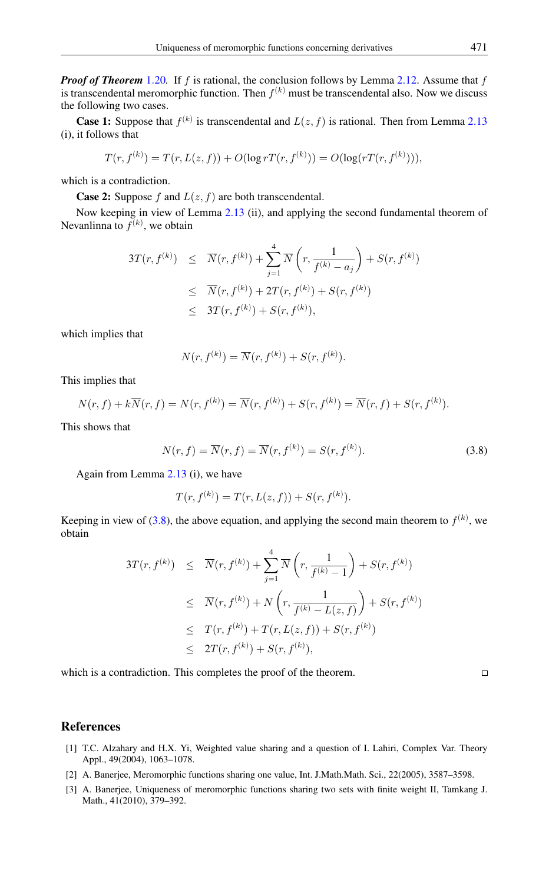*Proof of Theorem* 1.[20](#page-3-2)*.* If f is rational, the conclusion follows by Lemma [2.12.](#page-4-7) Assume that f is transcendental meromorphic function. Then  $f^{(k)}$  must be transcendental also. Now we discuss the following two cases.

**Case 1:** Suppose that  $f^{(k)}$  is transcendental and  $L(z, f)$  is rational. Then from Lemma [2.13](#page-4-8) (i), it follows that

$$
T(r, f^{(k)}) = T(r, L(z, f)) + O(\log r T(r, f^{(k)})) = O(\log(rT(r, f^{(k)}))),
$$

which is a contradiction.

**Case 2:** Suppose f and  $L(z, f)$  are both transcendental.

Now keeping in view of Lemma [2.13](#page-4-8) (ii), and applying the second fundamental theorem of Nevanlinna to  $f^{(k)}$ , we obtain

$$
3T(r, f^{(k)}) \leq \overline{N}(r, f^{(k)}) + \sum_{j=1}^{4} \overline{N}\left(r, \frac{1}{f^{(k)} - a_j}\right) + S(r, f^{(k)})
$$
  

$$
\leq \overline{N}(r, f^{(k)}) + 2T(r, f^{(k)}) + S(r, f^{(k)})
$$
  

$$
\leq 3T(r, f^{(k)}) + S(r, f^{(k)}),
$$

which implies that

$$
N(r, f^{(k)}) = \overline{N}(r, f^{(k)}) + S(r, f^{(k)}).
$$

This implies that

$$
N(r, f) + k\overline{N}(r, f) = N(r, f^{(k)}) = \overline{N}(r, f^{(k)}) + S(r, f^{(k)}) = \overline{N}(r, f) + S(r, f^{(k)}).
$$

This shows that

<span id="page-9-4"></span>
$$
N(r, f) = \overline{N}(r, f) = \overline{N}(r, f^{(k)}) = S(r, f^{(k)}).
$$
\n(3.8)

Again from Lemma [2.13](#page-4-8) (i), we have

$$
T(r, f^{(k)}) = T(r, L(z, f)) + S(r, f^{(k)}).
$$

Keeping in view of [\(3.8\)](#page-9-4), the above equation, and applying the second main theorem to  $f^{(k)}$ , we obtain

$$
3T(r, f^{(k)}) \leq \overline{N}(r, f^{(k)}) + \sum_{j=1}^{4} \overline{N}\left(r, \frac{1}{f^{(k)} - 1}\right) + S(r, f^{(k)})
$$
  

$$
\leq \overline{N}(r, f^{(k)}) + N\left(r, \frac{1}{f^{(k)} - L(z, f)}\right) + S(r, f^{(k)})
$$
  

$$
\leq T(r, f^{(k)}) + T(r, L(z, f)) + S(r, f^{(k)})
$$
  

$$
\leq 2T(r, f^{(k)}) + S(r, f^{(k)}),
$$

which is a contradiction. This completes the proof of the theorem.

#### <span id="page-9-0"></span>References

- <span id="page-9-2"></span>[1] T.C. Alzahary and H.X. Yi, Weighted value sharing and a question of I. Lahiri, Complex Var. Theory Appl., 49(2004), 1063–1078.
- <span id="page-9-3"></span>[2] A. Banerjee, Meromorphic functions sharing one value, Int. J.Math.Math. Sci., 22(2005), 3587–3598.
- <span id="page-9-1"></span>[3] A. Banerjee, Uniqueness of meromorphic functions sharing two sets with finite weight II, Tamkang J. Math., 41(2010), 379–392.

 $\Box$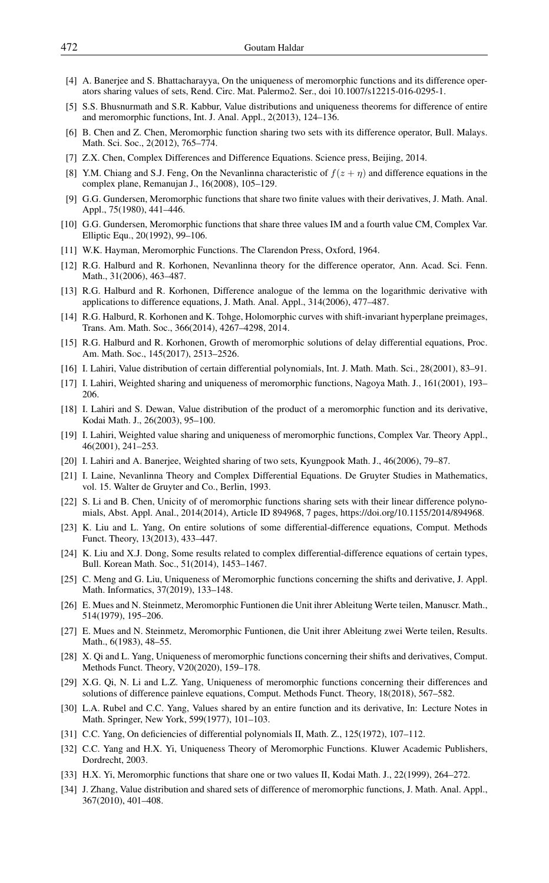- <span id="page-10-17"></span>[4] A. Banerjee and S. Bhattacharayya, On the uniqueness of meromorphic functions and its difference operators sharing values of sets, Rend. Circ. Mat. Palermo2. Ser., doi 10.1007/s12215-016-0295-1.
- <span id="page-10-18"></span>[5] S.S. Bhusnurmath and S.R. Kabbur, Value distributions and uniqueness theorems for difference of entire and meromorphic functions, Int. J. Anal. Appl., 2(2013), 124–136.
- <span id="page-10-19"></span>[6] B. Chen and Z. Chen, Meromorphic function sharing two sets with its difference operator, Bull. Malays. Math. Sci. Soc., 2(2012), 765–774.
- <span id="page-10-12"></span>[7] Z.X. Chen, Complex Differences and Difference Equations. Science press, Beijing, 2014.
- <span id="page-10-10"></span>[8] Y.M. Chiang and S.J. Feng, On the Nevanlinna characteristic of  $f(z + \eta)$  and difference equations in the complex plane, Remanujan J., 16(2008), 105–129.
- <span id="page-10-7"></span>[9] G.G. Gundersen, Meromorphic functions that share two finite values with their derivatives, J. Math. Anal. Appl., 75(1980), 441–446.
- <span id="page-10-30"></span>[10] G.G. Gundersen, Meromorphic functions that share three values IM and a fourth value CM, Complex Var. Elliptic Equ., 20(1992), 99–106.
- <span id="page-10-0"></span>[11] W.K. Hayman, Meromorphic Functions. The Clarendon Press, Oxford, 1964.
- <span id="page-10-8"></span>[12] R.G. Halburd and R. Korhonen, Nevanlinna theory for the difference operator, Ann. Acad. Sci. Fenn. Math., 31(2006), 463–487.
- <span id="page-10-9"></span>[13] R.G. Halburd and R. Korhonen, Difference analogue of the lemma on the logarithmic derivative with applications to difference equations, J. Math. Anal. Appl., 314(2006), 477–487.
- <span id="page-10-11"></span>[14] R.G. Halburd, R. Korhonen and K. Tohge, Holomorphic curves with shift-invariant hyperplane preimages, Trans. Am. Math. Soc., 366(2014), 4267–4298, 2014.
- <span id="page-10-13"></span>[15] R.G. Halburd and R. Korhonen, Growth of meromorphic solutions of delay differential equations, Proc. Am. Math. Soc., 145(2017), 2513–2526.
- <span id="page-10-3"></span>[16] I. Lahiri, Value distribution of certain differential polynomials, Int. J. Math. Math. Sci., 28(2001), 83–91.
- <span id="page-10-2"></span>[17] I. Lahiri, Weighted sharing and uniqueness of meromorphic functions, Nagoya Math. J., 161(2001), 193– 206.
- <span id="page-10-27"></span>[18] I. Lahiri and S. Dewan, Value distribution of the product of a meromorphic function and its derivative, Kodai Math. J., 26(2003), 95–100.
- <span id="page-10-1"></span>[19] I. Lahiri, Weighted value sharing and uniqueness of meromorphic functions, Complex Var. Theory Appl., 46(2001), 241–253.
- <span id="page-10-25"></span>[20] I. Lahiri and A. Banerjee, Weighted sharing of two sets, Kyungpook Math. J., 46(2006), 79–87.
- <span id="page-10-14"></span>[21] I. Laine, Nevanlinna Theory and Complex Differential Equations. De Gruyter Studies in Mathematics, vol. 15. Walter de Gruyter and Co., Berlin, 1993.
- <span id="page-10-20"></span>[22] S. Li and B. Chen, Unicity of of meromorphic functions sharing sets with their linear difference polynomials, Abst. Appl. Anal., 2014(2014), Article ID 894968, 7 pages, https://doi.org/10.1155/2014/894968.
- <span id="page-10-15"></span>[23] K. Liu and L. Yang, On entire solutions of some differential-difference equations, Comput. Methods Funct. Theory, 13(2013), 433–447.
- <span id="page-10-22"></span>[24] K. Liu and X.J. Dong, Some results related to complex differential-difference equations of certain types, Bull. Korean Math. Soc., 51(2014), 1453–1467.
- <span id="page-10-24"></span>[25] C. Meng and G. Liu, Uniqueness of Meromorphic functions concerning the shifts and derivative, J. Appl. Math. Informatics, 37(2019), 133–148.
- <span id="page-10-5"></span>[26] E. Mues and N. Steinmetz, Meromorphic Funtionen die Unit ihrer Ableitung Werte teilen, Manuscr. Math., 514(1979), 195–206.
- <span id="page-10-6"></span>[27] E. Mues and N. Steinmetz, Meromorphic Funtionen, die Unit ihrer Ableitung zwei Werte teilen, Results. Math., 6(1983), 48–55.
- <span id="page-10-16"></span>[28] X. Qi and L. Yang, Uniqueness of meromorphic functions concerning their shifts and derivatives, Comput. Methods Funct. Theory, V20(2020), 159–178.
- <span id="page-10-23"></span>[29] X.G. Qi, N. Li and L.Z. Yang, Uniqueness of meromorphic functions concerning their differences and solutions of difference painleve equations, Comput. Methods Funct. Theory, 18(2018), 567–582.
- <span id="page-10-4"></span>[30] L.A. Rubel and C.C. Yang, Values shared by an entire function and its derivative, In: Lecture Notes in Math. Springer, New York, 599(1977), 101–103.
- <span id="page-10-26"></span>[31] C.C. Yang, On deficiencies of differential polynomials II, Math. Z., 125(1972), 107–112.
- <span id="page-10-29"></span>[32] C.C. Yang and H.X. Yi, Uniqueness Theory of Meromorphic Functions. Kluwer Academic Publishers, Dordrecht, 2003.
- <span id="page-10-28"></span>[33] H.X. Yi, Meromorphic functions that share one or two values II, Kodai Math. J., 22(1999), 264–272.
- <span id="page-10-21"></span>[34] J. Zhang, Value distribution and shared sets of difference of meromorphic functions, J. Math. Anal. Appl., 367(2010), 401–408.